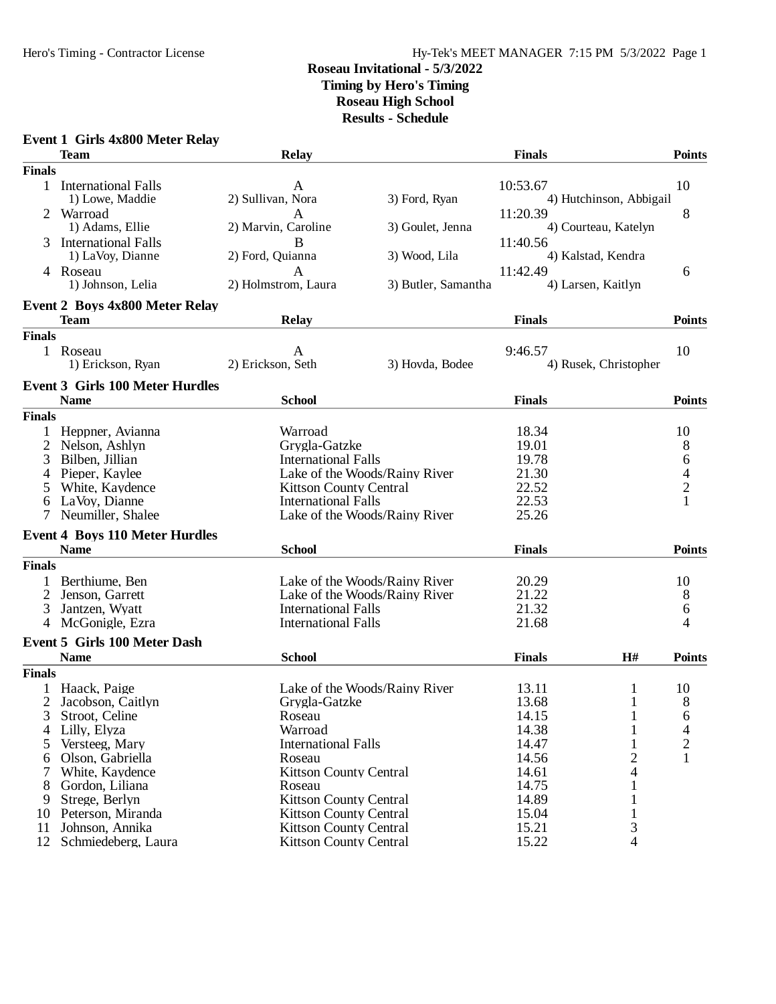# Hero's Timing - Contractor License Hy-Tek's MEET MANAGER 7:15 PM 5/3/2022 Page 1

#### **Roseau Invitational - 5/3/2022 Timing by Hero's Timing Roseau High School Results - Schedule**

# **Event 1 Girls 4x800 Meter Relay**

|                | <b>Team</b>                                           | <b>Relay</b>                                                |                     | <b>Finals</b>  |                         | <b>Points</b>  |
|----------------|-------------------------------------------------------|-------------------------------------------------------------|---------------------|----------------|-------------------------|----------------|
| <b>Finals</b>  |                                                       |                                                             |                     |                |                         |                |
|                | 1 International Falls<br>1) Lowe, Maddie              | A<br>2) Sullivan, Nora                                      | 3) Ford, Ryan       | 10:53.67       | 4) Hutchinson, Abbigail | 10             |
| 2              | Warroad<br>1) Adams, Ellie                            | A<br>2) Marvin, Caroline                                    | 3) Goulet, Jenna    | 11:20.39       | 4) Courteau, Katelyn    | 8              |
| 3              | <b>International Falls</b><br>1) LaVoy, Dianne        | B<br>2) Ford, Quianna                                       | 3) Wood, Lila       | 11:40.56       | 4) Kalstad, Kendra      |                |
|                | 4 Roseau<br>1) Johnson, Lelia                         | A<br>2) Holmstrom, Laura                                    | 3) Butler, Samantha | 11:42.49       | 4) Larsen, Kaitlyn      | 6              |
|                | <b>Event 2 Boys 4x800 Meter Relay</b>                 |                                                             |                     |                |                         |                |
|                | <b>Team</b>                                           | <b>Relay</b>                                                |                     | <b>Finals</b>  |                         | <b>Points</b>  |
| <b>Finals</b>  |                                                       |                                                             |                     |                |                         |                |
|                | 1 Roseau<br>1) Erickson, Ryan                         | A<br>2) Erickson, Seth                                      | 3) Hovda, Bodee     | 9:46.57        | 4) Rusek, Christopher   | 10             |
|                | <b>Event 3 Girls 100 Meter Hurdles</b><br><b>Name</b> | <b>School</b>                                               |                     | <b>Finals</b>  |                         | <b>Points</b>  |
| <b>Finals</b>  |                                                       |                                                             |                     |                |                         |                |
|                |                                                       |                                                             |                     |                |                         |                |
| $\mathbf{1}$   | Heppner, Avianna                                      | Warroad                                                     |                     | 18.34          |                         | 10             |
| 2              | Nelson, Ashlyn                                        | Grygla-Gatzke                                               |                     | 19.01          |                         | 8              |
| 3              | Bilben, Jillian                                       | <b>International Falls</b>                                  |                     | 19.78<br>21.30 |                         | 6              |
| 4              | Pieper, Kaylee                                        | Lake of the Woods/Rainy River                               |                     | 22.52          |                         | $\overline{4}$ |
| $\mathfrak{S}$ | White, Kaydence<br>LaVoy, Dianne                      | <b>Kittson County Central</b><br><b>International Falls</b> |                     | 22.53          |                         | $\overline{c}$ |
| 6              | Neumiller, Shalee                                     | Lake of the Woods/Rainy River                               |                     | 25.26          |                         |                |
|                |                                                       |                                                             |                     |                |                         |                |
|                | <b>Event 4 Boys 110 Meter Hurdles</b>                 |                                                             |                     |                |                         |                |
|                | <b>Name</b>                                           | <b>School</b>                                               |                     | <b>Finals</b>  |                         | <b>Points</b>  |
| <b>Finals</b>  |                                                       |                                                             |                     |                |                         |                |
|                | Berthiume, Ben                                        | Lake of the Woods/Rainy River                               |                     | 20.29          |                         | 10             |
|                | Jenson, Garrett                                       | Lake of the Woods/Rainy River                               |                     | 21.22          |                         | 8              |
| 3              | Jantzen, Wyatt                                        | <b>International Falls</b>                                  |                     | 21.32          |                         | 6              |
|                | 4 McGonigle, Ezra                                     | <b>International Falls</b>                                  |                     | 21.68          |                         | 4              |
|                | <b>Event 5 Girls 100 Meter Dash</b>                   |                                                             |                     |                |                         |                |
|                | <b>Name</b>                                           | <b>School</b>                                               |                     | <b>Finals</b>  | H#                      | <b>Points</b>  |
| <b>Finals</b>  |                                                       |                                                             |                     |                |                         |                |
|                | Haack, Paige                                          | Lake of the Woods/Rainy River                               |                     | 13.11          | 1                       | 10             |
|                | Jacobson, Caitlyn                                     | Grygla-Gatzke                                               |                     | 13.68          | 1                       | 8              |
|                | 3 Stroot, Celine                                      | Roseau                                                      |                     | 14.15          | $\mathbf 1$             | 6              |
| 4              | Lilly, Elyza                                          | Warroad                                                     |                     | 14.38          | 1                       | 4              |
| 5              | Versteeg, Mary                                        | <b>International Falls</b>                                  |                     | 14.47          |                         | 2              |
| 6              | Olson, Gabriella                                      | Roseau                                                      |                     | 14.56          | 2                       | 1              |
|                | White, Kaydence                                       | <b>Kittson County Central</b>                               |                     | 14.61          | 4                       |                |
| 8              | Gordon, Liliana                                       | Roseau                                                      |                     | 14.75          |                         |                |
| 9              | Strege, Berlyn                                        | <b>Kittson County Central</b>                               |                     | 14.89          |                         |                |
| 10             | Peterson, Miranda                                     | <b>Kittson County Central</b>                               |                     | 15.04          |                         |                |
| 11             | Johnson, Annika                                       | <b>Kittson County Central</b>                               |                     | 15.21          | 3                       |                |
| 12             | Schmiedeberg, Laura                                   | <b>Kittson County Central</b>                               |                     | 15.22          | 4                       |                |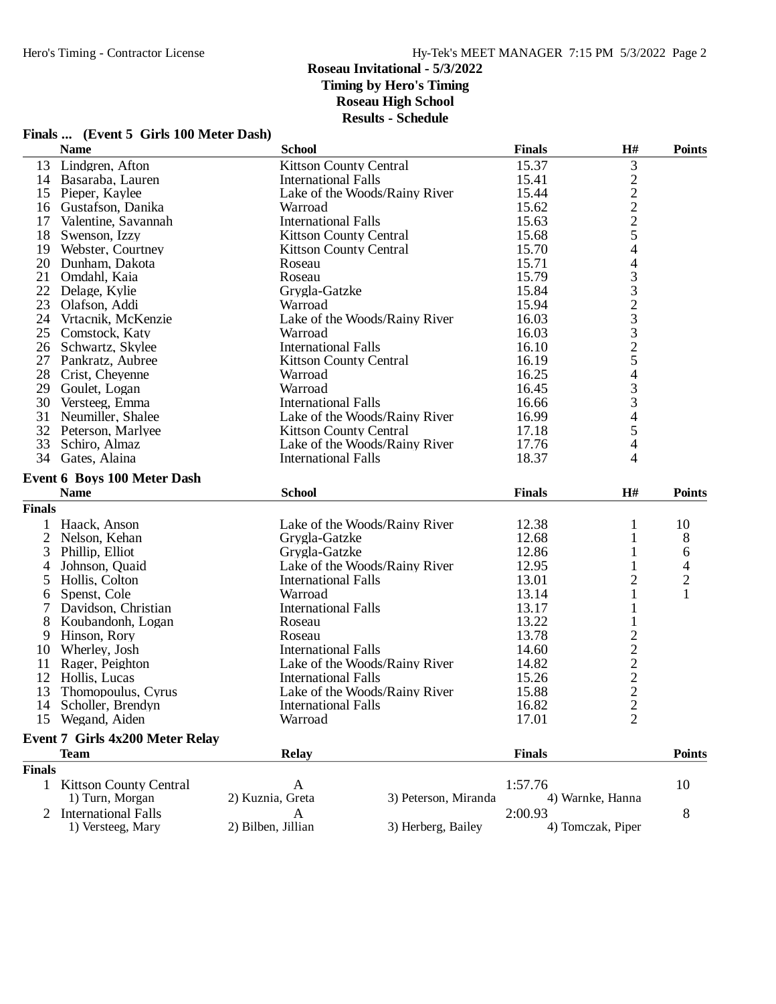| Finals  (Event 5 Girls 100 Meter Dash) |  |  |  |  |  |
|----------------------------------------|--|--|--|--|--|
|----------------------------------------|--|--|--|--|--|

|                | <b>Name</b>                        | <b>School</b>                 |                               | <b>Finals</b> | H#                                        | <b>Points</b>  |
|----------------|------------------------------------|-------------------------------|-------------------------------|---------------|-------------------------------------------|----------------|
| 13             | Lindgren, Afton                    | <b>Kittson County Central</b> |                               | 15.37         | $\mathfrak{Z}$                            |                |
|                | 14 Basaraba, Lauren                | <b>International Falls</b>    |                               | 15.41         |                                           |                |
|                | 15 Pieper, Kaylee                  |                               | Lake of the Woods/Rainy River | 15.44         |                                           |                |
| 16             | Gustafson, Danika                  | Warroad                       |                               | 15.62         | $\frac{2}{2}$ $\frac{2}{5}$               |                |
| 17             | Valentine, Savannah                | <b>International Falls</b>    |                               | 15.63         |                                           |                |
| 18             | Swenson, Izzy                      | <b>Kittson County Central</b> |                               | 15.68         |                                           |                |
| 19             | Webster, Courtney                  | <b>Kittson County Central</b> |                               | 15.70         | $\overline{4}$                            |                |
| 20             | Dunham, Dakota                     | Roseau                        |                               | 15.71         | $\overline{4}$                            |                |
| 21             | Omdahl, Kaia                       | Roseau                        |                               | 15.79         |                                           |                |
| 22             | Delage, Kylie                      | Grygla-Gatzke                 |                               | 15.84         | 332332543                                 |                |
| 23             | Olafson, Addi                      | Warroad                       |                               | 15.94         |                                           |                |
| 24             | Vrtacnik, McKenzie                 |                               | Lake of the Woods/Rainy River | 16.03         |                                           |                |
|                | 25 Comstock, Katy                  | Warroad                       |                               | 16.03         |                                           |                |
| 26             | Schwartz, Skylee                   | <b>International Falls</b>    |                               | 16.10         |                                           |                |
| 27             | Pankratz, Aubree                   | <b>Kittson County Central</b> |                               | 16.19         |                                           |                |
|                | 28 Crist, Cheyenne                 | Warroad                       |                               | 16.25         |                                           |                |
| 29             | Goulet, Logan                      | Warroad                       |                               | 16.45         |                                           |                |
| 30             | Versteeg, Emma                     | <b>International Falls</b>    |                               | 16.66         | 3                                         |                |
| 31             | Neumiller, Shalee                  |                               | Lake of the Woods/Rainy River | 16.99         | $\overline{4}$                            |                |
|                | 32 Peterson, Marlyee               | <b>Kittson County Central</b> |                               | 17.18         | 5                                         |                |
| 33             | Schiro, Almaz                      |                               | Lake of the Woods/Rainy River | 17.76         | 4                                         |                |
|                | 34 Gates, Alaina                   | <b>International Falls</b>    |                               | 18.37         | 4                                         |                |
|                | <b>Event 6 Boys 100 Meter Dash</b> |                               |                               |               |                                           |                |
|                | <b>Name</b>                        | <b>School</b>                 |                               | <b>Finals</b> | H#                                        | <b>Points</b>  |
|                |                                    |                               |                               |               |                                           |                |
| <b>Finals</b>  |                                    |                               |                               |               |                                           |                |
|                | Haack, Anson                       |                               | Lake of the Woods/Rainy River | 12.38         | $\mathbf{1}$                              | 10             |
| $\overline{2}$ | Nelson, Kehan                      | Grygla-Gatzke                 |                               | 12.68         | $\mathbf{1}$                              | 8              |
| 3              | Phillip, Elliot                    | Grygla-Gatzke                 |                               | 12.86         | 1                                         | 6              |
| 4              | Johnson, Quaid                     |                               | Lake of the Woods/Rainy River | 12.95         |                                           | $\overline{4}$ |
| 5              | Hollis, Colton                     | <b>International Falls</b>    |                               | 13.01         | $\overline{2}$                            | $\overline{c}$ |
| 6              | Spenst, Cole                       | Warroad                       |                               | 13.14         | 1                                         | $\mathbf{1}$   |
| 7              | Davidson, Christian                | <b>International Falls</b>    |                               | 13.17         | $\mathbf{1}$                              |                |
| 8              | Koubandonh, Logan                  | Roseau                        |                               | 13.22         | $\mathbf{1}$                              |                |
| 9              | Hinson, Rory                       | Roseau                        |                               | 13.78         |                                           |                |
| 10             | Wherley, Josh                      | <b>International Falls</b>    |                               | 14.60         | $\frac{2}{2}$ $\frac{2}{2}$ $\frac{2}{2}$ |                |
| 11             | Rager, Peighton                    |                               | Lake of the Woods/Rainy River | 14.82         |                                           |                |
| 12             | Hollis, Lucas                      | <b>International Falls</b>    |                               | 15.26         |                                           |                |
| 13             | Thomopoulus, Cyrus                 |                               | Lake of the Woods/Rainy River | 15.88         |                                           |                |
| 14             | Scholler, Brendyn                  | <b>International Falls</b>    |                               | 16.82         |                                           |                |
|                | 15 Wegand, Aiden                   | Warroad                       |                               | 17.01         | 2                                         |                |
|                | Event 7 Girls 4x200 Meter Relay    |                               |                               |               |                                           |                |
|                | <b>Team</b>                        | <b>Relay</b>                  |                               | <b>Finals</b> |                                           | <b>Points</b>  |
| <b>Finals</b>  |                                    |                               |                               |               |                                           |                |
|                | 1 Kittson County Central           | A                             |                               | 1:57.76       |                                           | 10             |
|                | 1) Turn, Morgan                    | 2) Kuznia, Greta              | 3) Peterson, Miranda          |               | 4) Warnke, Hanna                          |                |
| 2              | <b>International Falls</b>         | A                             |                               | 2:00.93       |                                           | 8              |
|                | 1) Versteeg, Mary                  | 2) Bilben, Jillian            | 3) Herberg, Bailey            |               | 4) Tomczak, Piper                         |                |
|                |                                    |                               |                               |               |                                           |                |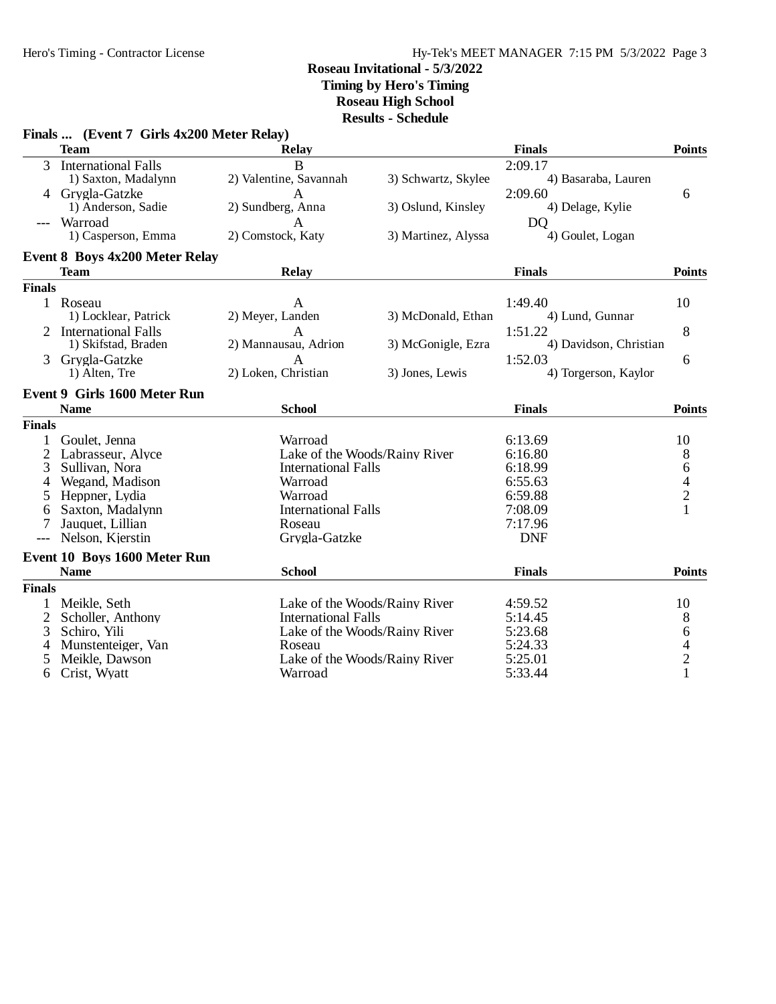# Hy-Tek's MEET MANAGER 7:15 PM 5/3/2022 Page 3

# **Roseau Invitational - 5/3/2022**

**Timing by Hero's Timing**

**Roseau High School**

**Results - Schedule**

|               | Finals  (Event 7 Girls 4x200 Meter Relay) |                            |                               |                        |               |
|---------------|-------------------------------------------|----------------------------|-------------------------------|------------------------|---------------|
|               | <b>Team</b>                               | <b>Relay</b>               |                               | <b>Finals</b>          | <b>Points</b> |
| 3             | <b>International Falls</b>                | B                          |                               | 2:09.17                |               |
|               | 1) Saxton, Madalynn                       | 2) Valentine, Savannah     | 3) Schwartz, Skylee           | 4) Basaraba, Lauren    |               |
|               | Grygla-Gatzke                             | A                          |                               | 2:09.60                | 6             |
|               | 1) Anderson, Sadie                        | 2) Sundberg, Anna          | 3) Oslund, Kinsley            | 4) Delage, Kylie       |               |
|               | Warroad                                   | A                          |                               | D <sub>O</sub>         |               |
|               | 1) Casperson, Emma                        | 2) Comstock, Katy          | 3) Martinez, Alyssa           | 4) Goulet, Logan       |               |
|               | Event 8 Boys 4x200 Meter Relay            |                            |                               |                        |               |
|               | <b>Team</b>                               | <b>Relay</b>               |                               | <b>Finals</b>          | <b>Points</b> |
| <b>Finals</b> |                                           |                            |                               |                        |               |
|               | 1 Roseau                                  | A                          |                               | 1:49.40                | 10            |
|               | 1) Locklear, Patrick                      | 2) Meyer, Landen           | 3) McDonald, Ethan            | 4) Lund, Gunnar        |               |
|               | 2 International Falls                     | $\mathsf{A}$               |                               | 1:51.22                | 8             |
|               | 1) Skifstad, Braden                       | 2) Mannausau, Adrion       | 3) McGonigle, Ezra            | 4) Davidson, Christian |               |
| 3             | Grygla-Gatzke                             | $\mathbf{A}$               |                               | 1:52.03                | 6             |
|               | 1) Alten, Tre                             | 2) Loken, Christian        | 3) Jones, Lewis               | 4) Torgerson, Kaylor   |               |
|               | <b>Event 9 Girls 1600 Meter Run</b>       |                            |                               |                        |               |
|               | <b>Name</b>                               | <b>School</b>              |                               | <b>Finals</b>          | <b>Points</b> |
| <b>Finals</b> |                                           |                            |                               |                        |               |
| 1             | Goulet, Jenna                             | Warroad                    |                               | 6:13.69                | 10            |
| 2             | Labrasseur, Alyce                         |                            | Lake of the Woods/Rainy River | 6:16.80                | 8             |
| 3             | Sullivan, Nora                            | <b>International Falls</b> |                               | 6:18.99                | 6             |
| 4             | Wegand, Madison                           | Warroad                    |                               | 6:55.63                | $\frac{4}{2}$ |
| 5             | Heppner, Lydia                            | Warroad                    |                               | 6:59.88                |               |
| 6             | Saxton, Madalynn                          | <b>International Falls</b> |                               | 7:08.09                | $\mathbf{1}$  |
| 7             | Jauquet, Lillian                          | Roseau                     |                               | 7:17.96                |               |
| $---$         | Nelson, Kjerstin                          | Grygla-Gatzke              |                               | <b>DNF</b>             |               |
|               | Event 10 Boys 1600 Meter Run              |                            |                               |                        |               |
|               | <b>Name</b>                               | <b>School</b>              |                               | <b>Finals</b>          | <b>Points</b> |
| <b>Finals</b> |                                           |                            |                               |                        |               |
| $\mathbf 1$   | Meikle, Seth                              |                            | Lake of the Woods/Rainy River | 4:59.52                | 10            |
| 2             | Scholler, Anthony                         | <b>International Falls</b> |                               | 5:14.45                | 8             |
| 3             | Schiro, Yili                              |                            | Lake of the Woods/Rainy River | 5:23.68                | 6             |
| 4             | Munstenteiger, Van                        | Roseau                     |                               | 5:24.33                |               |
| 5             | Meikle, Dawson                            |                            | Lake of the Woods/Rainy River | 5:25.01                | $\frac{4}{2}$ |
| 6             | Crist, Wyatt                              | Warroad                    |                               | 5:33.44                | $\mathbf{1}$  |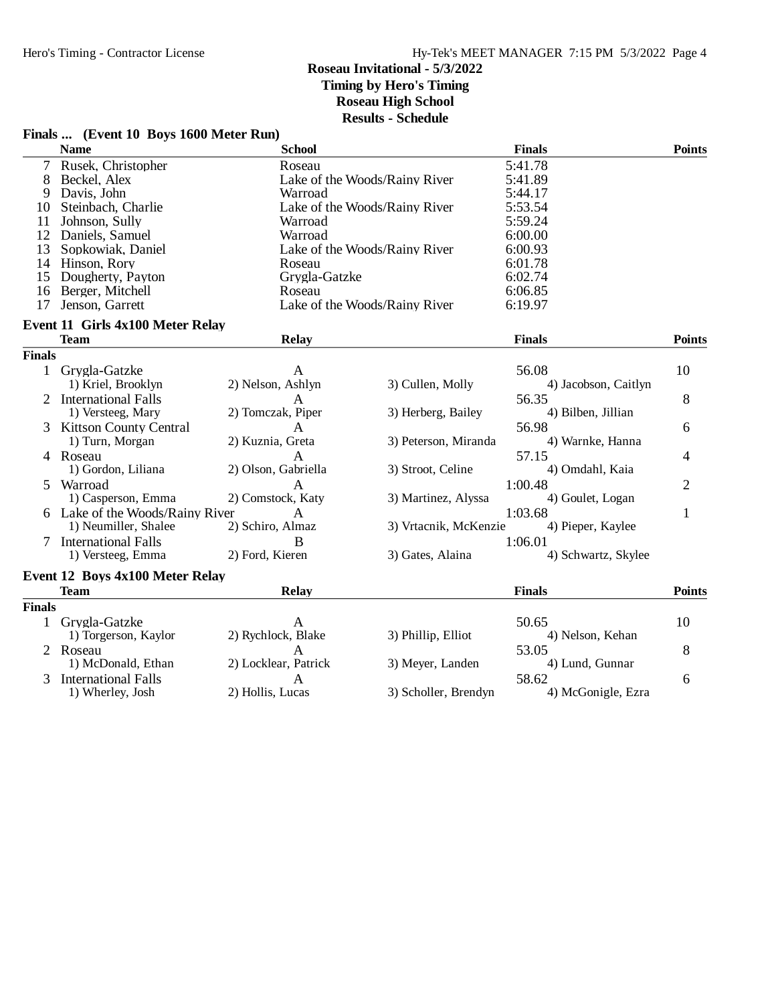#### **Finals ... (Event 10 Boys 1600 Meter Run) Name School Finals Points** 7 Rusek, Christopher Roseau 5:41.78<br>
8 Beckel, Alex Lake of the Woods/Rainy River 5:41.89 8 Beckel, Alex Lake of the Woods/Rainy River 5:41.89<br>
9 Davis, John Warroad 5:44.17 9 Davis, John Warroad 5:44.17<br>10 Steinbach, Charlie Lake of the Woods/Rainy River 5:53.54 10 Steinbach, Charlie Lake of the Woods/Rainy River 5:53.54<br>11 Johnson, Sully Warroad 5:59.24 11 Johnson, Sully Warroad 5:59.24<br>
12 Daniels. Samuel Warroad Warroad 6:00.00 12 Daniels, Samuel **12 Daniels, Samuel 12 Daniels** 6:00.00<br>
13 Sopkowiak, Daniel 13 Lake of the Woods/Rainy River 6:00.93 Lake of the Woods/Rainy River 14 Hinson, Rory 81, 2008 Roseau 6:01.78<br>15 Dougherty, Payton 6:02.74 Grygla-Gatzke 6:02.74 15 Dougherty, Payton Grygla-Gatzke 6:02.74<br>16 Berger, Mitchell **Grygla-Gatzke** 6:06.85 16 Berger, Mitchell **16 Berger, Mitchell** Roseau **17 Jenson, Garrett** 16 Conservation Care Roseau 6:06.85 Lake of the Woods/Rainy River **Event 11 Girls 4x100 Meter Relay Team Relay Finals Points Finals** 1 Grygla-Gatzke 10<br>
10 1) Kriel, Brooklyn 2) Nelson, Ashlyn 3) Cullen, Molly 4) Jacobson, Caitlyn 10 4) Jacobson, Caitlyn 2 International Falls A 56.35 8<br>1) Versteeg, Mary 2) Tomczak, Piper 3) Herberg, Bailey 4) Bilben, Jillian 8 2) Tomczak, Piper 3 Kittson County Central A<br>
1) Turn, Morgan 2) Kuznia, Greta 3) Peterson, Miranda 4) Warnke, Hanna 6 1) Turn, Morgan 2) Kuznia, Greta 3) Peterson, Miranda 4 Roseau A 57.15 4 1) Gordon, Liliana 2) Olson, Gabriella 3) Stroot, Celine 4) Omdahl, Kaia 5 Warroad 2 A 1:00.48 2 1) Casperson, Emma 2) Comstock, Katy 3) Martinez, Alyssa 4) Goulet, Logan 6 Lake of the Woods/Rainy River A 1:03.68 1<br>
1) Neumiller, Shalee 2) Schiro, Almaz 3) Vrtacnik, McKenzie 4) Pieper, Kaylee 3) Vrtacnik, McKenzie 7 International Falls B 1:06.01<br>
1) Versteeg, Emma 2) Ford, Kieren 3) Gates, Alaina 1) Versteeg, Emma 2) Ford, Kieren 3) Gates, Alaina 4) Schwartz, Skylee **Event 12 Boys 4x100 Meter Relay Team Relay Finals Points Finals** 1 Grygla-Gatzke A 50.65 10<br>
1) Torgerson, Kaylor 2) Rychlock, Blake 3) Phillip, Elliot 4) Nelson, Kehan 10 1) Torgerson, Kaylor 2 Roseau A 53.05 8 1) McDonald, Ethan 2) Locklear, Patrick 3) Meyer, Landen 4) Lund, Gunnar 3 International Falls 1 A 58.62 6<br>
1) Wherley, Josh 2) Hollis, Lucas 3) Scholler, Brendyn 4) McGonigle, Ezra 3) Scholler, Brendyn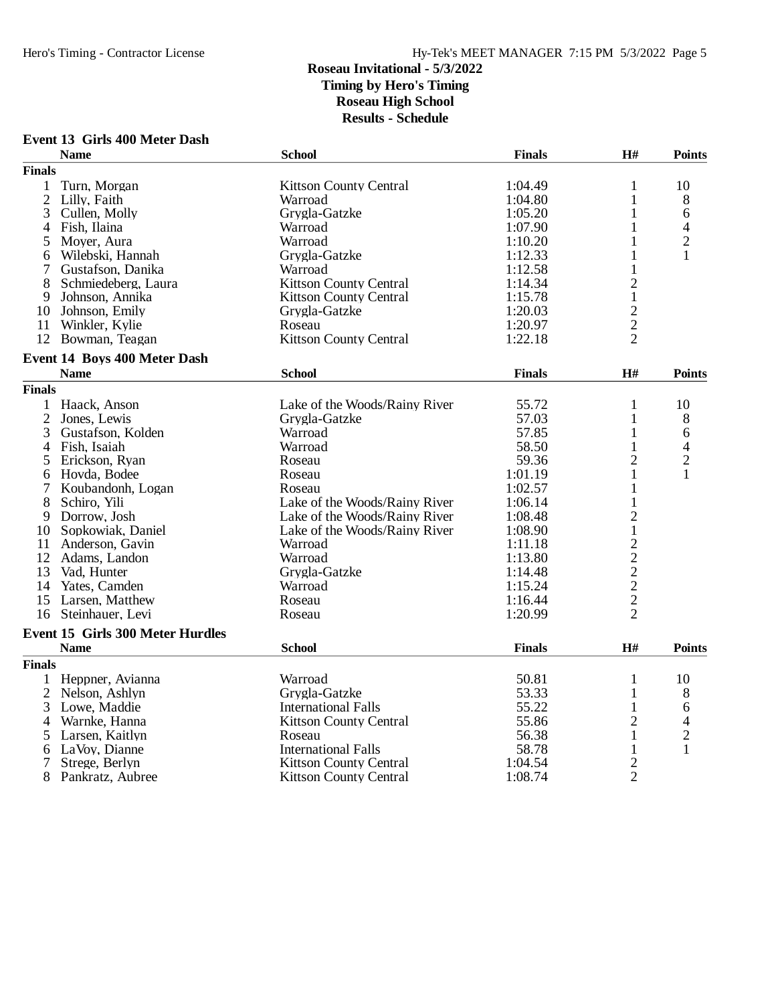#### **Event 13 Girls 400 Meter Dash**

|                | <b>Name</b>                      | <b>School</b>                 | <b>Finals</b> | H#                                                | <b>Points</b>           |
|----------------|----------------------------------|-------------------------------|---------------|---------------------------------------------------|-------------------------|
| <b>Finals</b>  |                                  |                               |               |                                                   |                         |
| 1              | Turn, Morgan                     | <b>Kittson County Central</b> | 1:04.49       | 1                                                 | 10                      |
| $\overline{2}$ | Lilly, Faith                     | Warroad                       | 1:04.80       | 1                                                 | 8                       |
| 3              | Cullen, Molly                    | Grygla-Gatzke                 | 1:05.20       | 1                                                 | 6                       |
| 4              | Fish, Ilaina                     | Warroad                       | 1:07.90       | 1                                                 | 4                       |
| 5              | Moyer, Aura                      | Warroad                       | 1:10.20       | 1                                                 | $\overline{2}$          |
| 6              | Wilebski, Hannah                 | Grygla-Gatzke                 | 1:12.33       | 1                                                 | 1                       |
| 7              | Gustafson, Danika                | Warroad                       | 1:12.58       | 1                                                 |                         |
| 8              | Schmiedeberg, Laura              | <b>Kittson County Central</b> | 1:14.34       | $\overline{c}$                                    |                         |
| 9              | Johnson, Annika                  | <b>Kittson County Central</b> | 1:15.78       | $\mathbf{1}$                                      |                         |
| 10             | Johnson, Emily                   | Grygla-Gatzke                 | 1:20.03       | $\overline{c}$                                    |                         |
|                | 11 Winkler, Kylie                | Roseau                        | 1:20.97       | $\frac{2}{2}$                                     |                         |
|                | 12 Bowman, Teagan                | <b>Kittson County Central</b> | 1:22.18       |                                                   |                         |
|                | Event 14 Boys 400 Meter Dash     |                               |               |                                                   |                         |
|                | <b>Name</b>                      | <b>School</b>                 | <b>Finals</b> | $\mathbf{H}$ #                                    | <b>Points</b>           |
| <b>Finals</b>  |                                  |                               |               |                                                   |                         |
| 1              | Haack, Anson                     | Lake of the Woods/Rainy River | 55.72         | $\mathbf{1}$                                      | 10                      |
| $\overline{2}$ | Jones, Lewis                     | Grygla-Gatzke                 | 57.03         | $\mathbf{1}$                                      | 8                       |
| 3              | Gustafson, Kolden                | Warroad                       | 57.85         | 1                                                 | 6                       |
| 4              | Fish, Isaiah                     | Warroad                       | 58.50         | 1                                                 | 4                       |
| 5              | Erickson, Ryan                   | Roseau                        | 59.36         | $\overline{2}$                                    | $\overline{c}$          |
| 6              | Hovda, Bodee                     | Roseau                        | 1:01.19       | $\mathbf{1}$                                      | 1                       |
| 7              | Koubandonh, Logan                | Roseau                        | 1:02.57       | 1                                                 |                         |
| 8              | Schiro, Yili                     | Lake of the Woods/Rainy River | 1:06.14       | 1                                                 |                         |
| 9              | Dorrow, Josh                     | Lake of the Woods/Rainy River | 1:08.48       | $\overline{c}$                                    |                         |
| 10             | Sopkowiak, Daniel                | Lake of the Woods/Rainy River | 1:08.90       | $\,1$                                             |                         |
| 11             | Anderson, Gavin                  | Warroad                       | 1:11.18       |                                                   |                         |
| 12             | Adams, Landon                    | Warroad                       | 1:13.80       |                                                   |                         |
| 13             | Vad, Hunter                      | Grygla-Gatzke                 | 1:14.48       |                                                   |                         |
| 14             | Yates, Camden                    | Warroad                       | 1:15.24       | $\begin{array}{c}\n2 \\ 2 \\ 2 \\ 2\n\end{array}$ |                         |
| 15             | Larsen, Matthew                  | Roseau                        | 1:16.44       |                                                   |                         |
|                | 16 Steinhauer, Levi              | Roseau                        | 1:20.99       | $\overline{2}$                                    |                         |
|                | Event 15 Girls 300 Meter Hurdles |                               |               |                                                   |                         |
|                | <b>Name</b>                      | <b>School</b>                 | <b>Finals</b> | H#                                                | <b>Points</b>           |
| <b>Finals</b>  |                                  |                               |               |                                                   |                         |
|                | 1 Heppner, Avianna               | Warroad                       | 50.81         | $\mathbf{1}$                                      | 10                      |
| $\overline{2}$ | Nelson, Ashlyn                   | Grygla-Gatzke                 | 53.33         | $\mathbf{1}$                                      | 8                       |
| 3              | Lowe, Maddie                     | <b>International Falls</b>    | 55.22         | 1                                                 | 6                       |
| 4              | Warnke, Hanna                    | <b>Kittson County Central</b> | 55.86         | $\overline{c}$                                    | 4                       |
| 5              | Larsen, Kaitlyn                  | Roseau                        | 56.38         | $\mathbf{1}$                                      | $\overline{\mathbf{c}}$ |
| 6              | LaVoy, Dianne                    | <b>International Falls</b>    | 58.78         | 1                                                 | $\mathbf{1}$            |
|                | Strege, Berlyn                   | <b>Kittson County Central</b> | 1:04.54       | $\overline{c}$                                    |                         |
| 8              | Pankratz, Aubree                 | <b>Kittson County Central</b> | 1:08.74       | $\overline{2}$                                    |                         |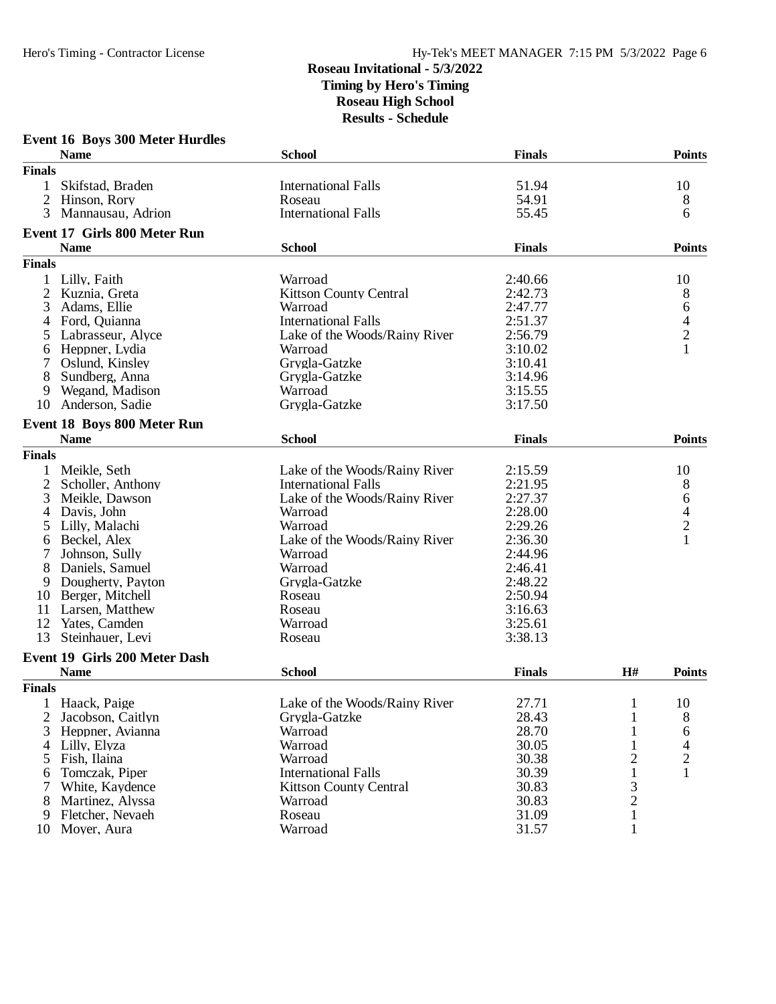#### **Event 16 Boys 300 Meter Hurdles Name School Finals Points Finals** 1 Skifstad, Braden International Falls 51.94 10 2 Hinson, Rory Roseau Roseau 54.91 8 3 Mannausau, Adrion **International Falls** 55.45 6 **Event 17 Girls 800 Meter Run Name School Finals Points Finals** 1 Lilly, Faith 10<br>
2 Kuznia, Greta 10<br>
2 Kuznia, Greta 10<br>
2 Kuznia, Greta 10<br>
2 Kuznia, Greta 10 2 Kuznia, Greta Kittson County Central 2:42.73 8 3 Adams, Ellie Warroad 2:47.77 6<br>4 Ford, Quianna 1 International Falls 2:51.37 6 4 Ford, Quianna International Falls 2:51.37 4 Eake of the Woods/Rainy River 2:56.79 2<br>
Warroad 3:10.02 1 6 Heppner, Lydia Warroad 3:10.02 1 7 Oslund, Kinsley Grygla-Gatzke 3:10.41 8 Sundberg, Anna Grygla-Gatzke 3:14.96 9 Wegand, Madison **19 Warroad** 3:15.55<br>
19 Anderson, Sadie 19 Grygla-Gatzke 3:17.50 10 Anderson, Sadie **Event 18 Boys 800 Meter Run Name School Finals Points Finals** 1 Meikle, Seth Lake of the Woods/Rainy River 2:15.59 10<br>
2 Scholler, Anthony International Falls 2:21.95 8 2 Scholler, Anthony **International Falls** 2:21.95 8<br>3 Meikle, Dawson **International Falls** 2:27.37 6 3 Meikle, Dawson Lake of the Woods/Rainy River 2:27.37 6<br>4 Davis, John Warroad 2:28.00 4 4 Davis, John Warroad 2:28.00 4 5 Lilly, Malachi Warroad 2:29.26 2 Lake of the Woods/Rainy River 2:36.30<br>Warroad 2:44.96 7 Johnson, Sully Warroad 2:44.96<br>
8 Daniels, Samuel Warroad 2:46.41 **12 Daniels, Samuel Warroad Warroad Dougherty, Payton Crystal Communisty Communisty Communisty Communisty Communisty Communisty Communisty Communisty Communisty Communisty Communisty Communisty Communisty Communisty Commun** 9 Dougherty, Payton Grygla-Gatzke 2:48.22<br>10 Berger. Mitchell Roseau Roseau 2:50.94 10 Berger, Mitchell Roseau 2:50.950.<br>
10 Boseau 2:50.9451.<br>
Roseau 2:50.9451. 11 Larsen, Matthew Roseau 2:16.63<br>
12 Yates. Camden Warroad 2:25.61 12 Yates, Camden Warroad 21 Warroad 31 Steinhauer, Levi<br>
13 Steinhauer, Levi<br>
20 Noseau 13 Steinhauer, Levi Roseau Roseau 3:38.13 **Event 19 Girls 200 Meter Dash Name School Finals H# Points Finals** 1 Haack, Paige Lake of the Woods/Rainy River 27.71 1 10<br>
2 Jacobson, Caitlyn Grygla-Gatzke 28.43 1 8 1 Jacobson, Caitlyn Grygla-Gatzke 28.43 1 8<br>
Heppner, Avianna Warroad 28.70 1 6 3 Heppner, Avianna Warroad 28.70 1 6 4 Lilly, Elyza Warroad 30.05 1 4 5 Fish, Ilaina Warroad 30.38 2 2 6 Tomczak, Piper International Falls 30.39 1<br>
7 White, Kaydence Kittson County Central 30.83 3 1 Xittson County Central 30.83 3<br>
Warroad 30.83 2 8 Martinez, Alyssa Warroad 30.83 2 9 Fletcher, Nevaeh Roseau 31.09 1 10 Moyer, Aura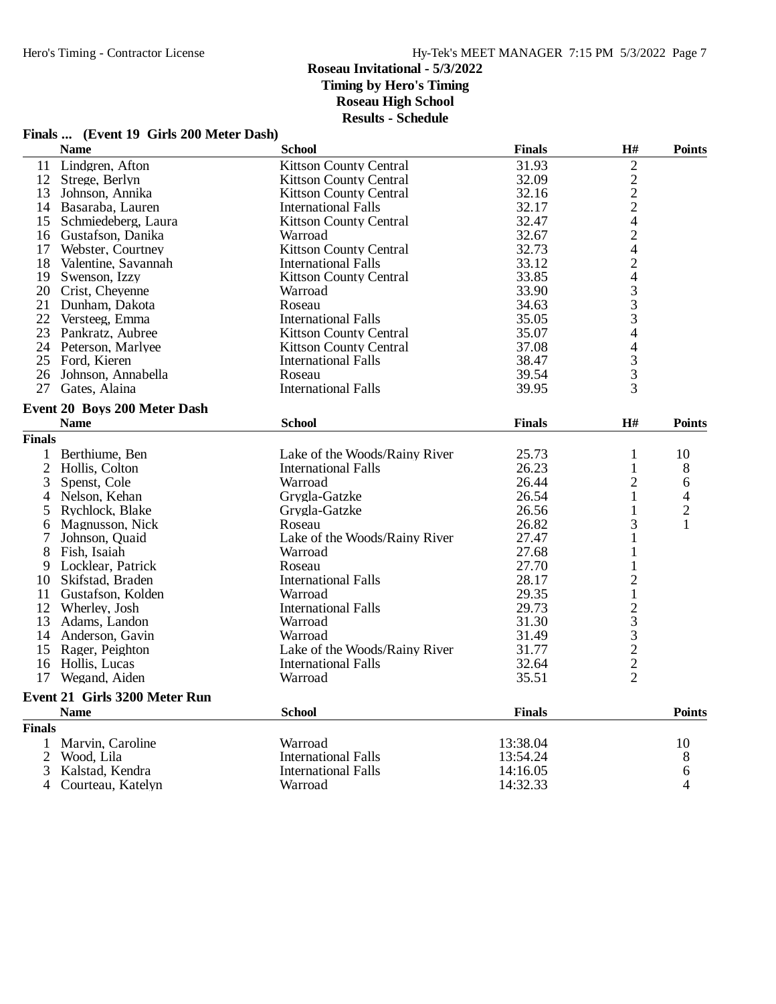# **Finals ... (Event 19 Girls 200 Meter Dash)**

|                | <b>Name</b>                                 | <b>School</b>                 | <b>Finals</b> | H#                                              | <b>Points</b> |
|----------------|---------------------------------------------|-------------------------------|---------------|-------------------------------------------------|---------------|
| 11             | Lindgren, Afton                             | <b>Kittson County Central</b> | 31.93         | $\overline{c}$                                  |               |
| 12             | Strege, Berlyn                              | <b>Kittson County Central</b> | 32.09         |                                                 |               |
| 13             | Johnson, Annika                             | <b>Kittson County Central</b> | 32.16         | $\begin{array}{c} 2 \\ 2 \\ 2 \\ 4 \end{array}$ |               |
|                | 14 Basaraba, Lauren                         | International Falls           | 32.17         |                                                 |               |
| 15             | Schmiedeberg, Laura                         | <b>Kittson County Central</b> | 32.47         |                                                 |               |
|                | 16 Gustafson, Danika                        | Warroad                       | 32.67         |                                                 |               |
| 17             | Webster, Courtney                           | <b>Kittson County Central</b> | 32.73         | $\frac{2}{4}$                                   |               |
| 18             | Valentine, Savannah                         | <b>International Falls</b>    | 33.12         | $\overline{\mathbf{c}}$                         |               |
| 19             | Swenson, Izzy                               | <b>Kittson County Central</b> | 33.85         | 4                                               |               |
|                | 20 Crist, Cheyenne                          | Warroad                       | 33.90         |                                                 |               |
| 21             | Dunham, Dakota                              | Roseau                        | 34.63         | $\begin{array}{c} 3 \\ 3 \\ 3 \end{array}$      |               |
|                | 22 Versteeg, Emma                           | <b>International Falls</b>    | 35.05         |                                                 |               |
|                | 23 Pankratz, Aubree                         | <b>Kittson County Central</b> | 35.07         | $\overline{4}$                                  |               |
|                | 24 Peterson, Marlyee                        | <b>Kittson County Central</b> | 37.08         | $\overline{\mathcal{L}}$                        |               |
| 25             | Ford, Kieren                                | <b>International Falls</b>    | 38.47         | 3                                               |               |
| 26             | Johnson, Annabella                          | Roseau                        | 39.54         | 3                                               |               |
| 27             | Gates, Alaina                               | <b>International Falls</b>    | 39.95         | 3                                               |               |
|                |                                             |                               |               |                                                 |               |
|                | Event 20 Boys 200 Meter Dash<br><b>Name</b> | <b>School</b>                 | <b>Finals</b> | H#                                              | <b>Points</b> |
| <b>Finals</b>  |                                             |                               |               |                                                 |               |
|                |                                             |                               |               |                                                 |               |
| 1              | Berthiume, Ben                              | Lake of the Woods/Rainy River | 25.73         | 1                                               | 10            |
|                | 2 Hollis, Colton                            | <b>International Falls</b>    | 26.23         | 1                                               | 8             |
| 3              | Spenst, Cole                                | Warroad                       | 26.44         | 2                                               | 6             |
| 4              | Nelson, Kehan                               | Grygla-Gatzke                 | 26.54         | 1                                               | 4             |
| 5              | Rychlock, Blake                             | Grygla-Gatzke                 | 26.56         | 1                                               | $\frac{2}{1}$ |
| 6              | Magnusson, Nick                             | Roseau                        | 26.82         | 3                                               |               |
| 7              | Johnson, Quaid                              | Lake of the Woods/Rainy River | 27.47         | 1                                               |               |
| 8              | Fish, Isaiah                                | Warroad                       | 27.68         | 1                                               |               |
| 9              | Locklear, Patrick                           | Roseau                        | 27.70         | 1                                               |               |
| 10             | Skifstad, Braden                            | <b>International Falls</b>    | 28.17         | $\overline{2}$                                  |               |
|                | 11 Gustafson, Kolden                        | Warroad                       | 29.35         | $\,1$                                           |               |
|                | 12 Wherley, Josh                            | <b>International Falls</b>    | 29.73         |                                                 |               |
| 13             | Adams, Landon                               | Warroad                       | 31.30         |                                                 |               |
|                | 14 Anderson, Gavin                          | Warroad                       | 31.49         |                                                 |               |
|                | 15 Rager, Peighton                          | Lake of the Woods/Rainy River | 31.77         |                                                 |               |
|                | 16 Hollis, Lucas                            | <b>International Falls</b>    | 32.64         | 233222                                          |               |
|                | 17 Wegand, Aiden                            | Warroad                       | 35.51         |                                                 |               |
|                | Event 21 Girls 3200 Meter Run               |                               |               |                                                 |               |
|                | <b>Name</b>                                 | <b>School</b>                 | <b>Finals</b> |                                                 | <b>Points</b> |
| <b>Finals</b>  |                                             |                               |               |                                                 |               |
| 1              | Marvin, Caroline                            | Warroad                       | 13:38.04      |                                                 | 10            |
| $\overline{2}$ | Wood, Lila                                  | <b>International Falls</b>    | 13:54.24      |                                                 | 8             |
| 3              | Kalstad, Kendra                             | <b>International Falls</b>    | 14:16.05      |                                                 | 6             |
| 4              | Courteau, Katelyn                           | Warroad                       | 14:32.33      |                                                 | 4             |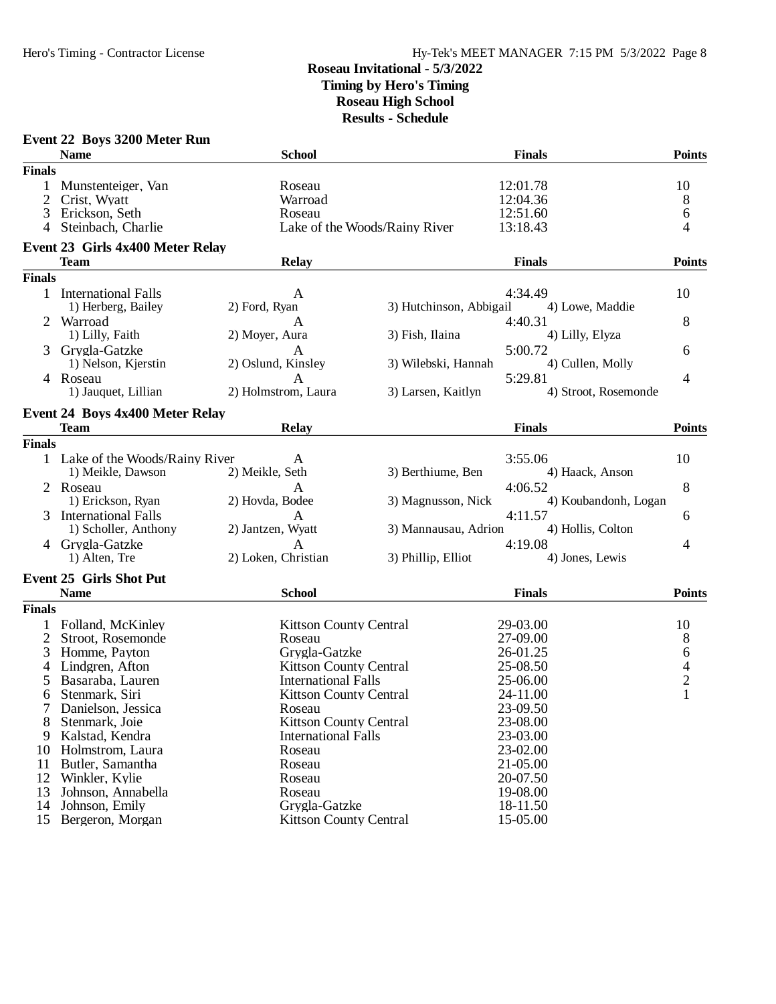|               | Event 22 Boys 3200 Meter Run           |                                                             |                         |                      |                      |                                            |
|---------------|----------------------------------------|-------------------------------------------------------------|-------------------------|----------------------|----------------------|--------------------------------------------|
|               | <b>Name</b>                            | <b>School</b>                                               |                         | <b>Finals</b>        |                      | <b>Points</b>                              |
| <b>Finals</b> |                                        |                                                             |                         |                      |                      |                                            |
| 1             | Munstenteiger, Van                     | Roseau                                                      |                         | 12:01.78             |                      | 10                                         |
| 2             | Crist, Wyatt                           | Warroad                                                     |                         | 12:04.36             |                      | $8\,$                                      |
| 3             | Erickson, Seth                         | Roseau                                                      |                         | 12:51.60             |                      | 6                                          |
| 4             | Steinbach, Charlie                     | Lake of the Woods/Rainy River                               |                         | 13:18.43             |                      | 4                                          |
|               | Event 23 Girls 4x400 Meter Relay       |                                                             |                         |                      |                      |                                            |
|               | <b>Team</b>                            | Relay                                                       |                         | <b>Finals</b>        |                      | <b>Points</b>                              |
| <b>Finals</b> |                                        |                                                             |                         |                      |                      |                                            |
|               | 1 International Falls                  | A                                                           |                         | 4:34.49              |                      | 10                                         |
|               | 1) Herberg, Bailey                     | 2) Ford, Ryan                                               | 3) Hutchinson, Abbigail |                      | 4) Lowe, Maddie      |                                            |
|               | 2 Warroad                              | A                                                           |                         | 4:40.31              |                      | 8                                          |
|               | 1) Lilly, Faith                        | 2) Moyer, Aura                                              | 3) Fish, Ilaina         |                      | 4) Lilly, Elyza      |                                            |
|               | Grygla-Gatzke                          | A                                                           |                         | 5:00.72              |                      | 6                                          |
|               | 1) Nelson, Kjerstin                    | 2) Oslund, Kinsley                                          | 3) Wilebski, Hannah     |                      | 4) Cullen, Molly     |                                            |
|               | 4 Roseau                               | A                                                           |                         | 5:29.81              |                      | 4                                          |
|               | 1) Jauquet, Lillian                    | 2) Holmstrom, Laura                                         | 3) Larsen, Kaitlyn      |                      | 4) Stroot, Rosemonde |                                            |
|               | <b>Event 24 Boys 4x400 Meter Relay</b> |                                                             |                         |                      |                      |                                            |
|               | <b>Team</b>                            | <b>Relay</b>                                                |                         | <b>Finals</b>        |                      | <b>Points</b>                              |
| <b>Finals</b> |                                        |                                                             |                         |                      |                      |                                            |
|               | 1 Lake of the Woods/Rainy River        | A                                                           |                         | 3:55.06              |                      | 10                                         |
|               | 1) Meikle, Dawson                      | 2) Meikle, Seth                                             | 3) Berthiume, Ben       |                      | 4) Haack, Anson      |                                            |
|               | 2 Roseau                               | A                                                           |                         | 4:06.52              |                      | 8                                          |
|               | 1) Erickson, Ryan                      | 2) Hovda, Bodee                                             | 3) Magnusson, Nick      |                      | 4) Koubandonh, Logan |                                            |
| 3             | <b>International Falls</b>             | A                                                           |                         | 4:11.57              |                      | 6                                          |
|               | 1) Scholler, Anthony                   | 2) Jantzen, Wyatt                                           | 3) Mannausau, Adrion    |                      | 4) Hollis, Colton    |                                            |
|               | 4 Grygla-Gatzke                        | A                                                           |                         | 4:19.08              |                      | 4                                          |
|               | 1) Alten, Tre                          | 2) Loken, Christian                                         | 3) Phillip, Elliot      |                      | 4) Jones, Lewis      |                                            |
|               | <b>Event 25 Girls Shot Put</b>         |                                                             |                         |                      |                      |                                            |
|               | <b>Name</b>                            | <b>School</b>                                               |                         | <b>Finals</b>        |                      | <b>Points</b>                              |
| <b>Finals</b> |                                        |                                                             |                         |                      |                      |                                            |
|               |                                        | <b>Kittson County Central</b>                               |                         |                      |                      |                                            |
|               | Folland, McKinley<br>Stroot, Rosemonde | Roseau                                                      |                         | 29-03.00<br>27-09.00 |                      | 10                                         |
| 2<br>3        | Homme, Payton                          | Grygla-Gatzke                                               |                         | 26-01.25             |                      | 8<br>$\sqrt{6}$                            |
|               | Lindgren, Afton                        |                                                             |                         | 25-08.50             |                      |                                            |
| 4             |                                        | <b>Kittson County Central</b><br><b>International Falls</b> |                         | 25-06.00             |                      | $\overline{\mathcal{A}}$<br>$\overline{c}$ |
| 5             | Basaraba, Lauren<br>6 Stenmark, Siri   |                                                             |                         |                      |                      |                                            |
|               |                                        | Kittson County Central                                      |                         | 24-11.00<br>23-09.50 |                      |                                            |
| 8             | Danielson, Jessica<br>Stenmark, Joie   | Roseau<br><b>Kittson County Central</b>                     |                         | 23-08.00             |                      |                                            |
| 9             | Kalstad, Kendra                        | <b>International Falls</b>                                  |                         | 23-03.00             |                      |                                            |
| 10            | Holmstrom, Laura                       | Roseau                                                      |                         | 23-02.00             |                      |                                            |
| 11            | Butler, Samantha                       | Roseau                                                      |                         | 21-05.00             |                      |                                            |
|               | 12 Winkler, Kylie                      | Roseau                                                      |                         | 20-07.50             |                      |                                            |
| 13            | Johnson, Annabella                     | Roseau                                                      |                         | 19-08.00             |                      |                                            |
| 14            | Johnson, Emily                         | Grygla-Gatzke                                               |                         | 18-11.50             |                      |                                            |
| 15            | Bergeron, Morgan                       | <b>Kittson County Central</b>                               |                         | 15-05.00             |                      |                                            |
|               |                                        |                                                             |                         |                      |                      |                                            |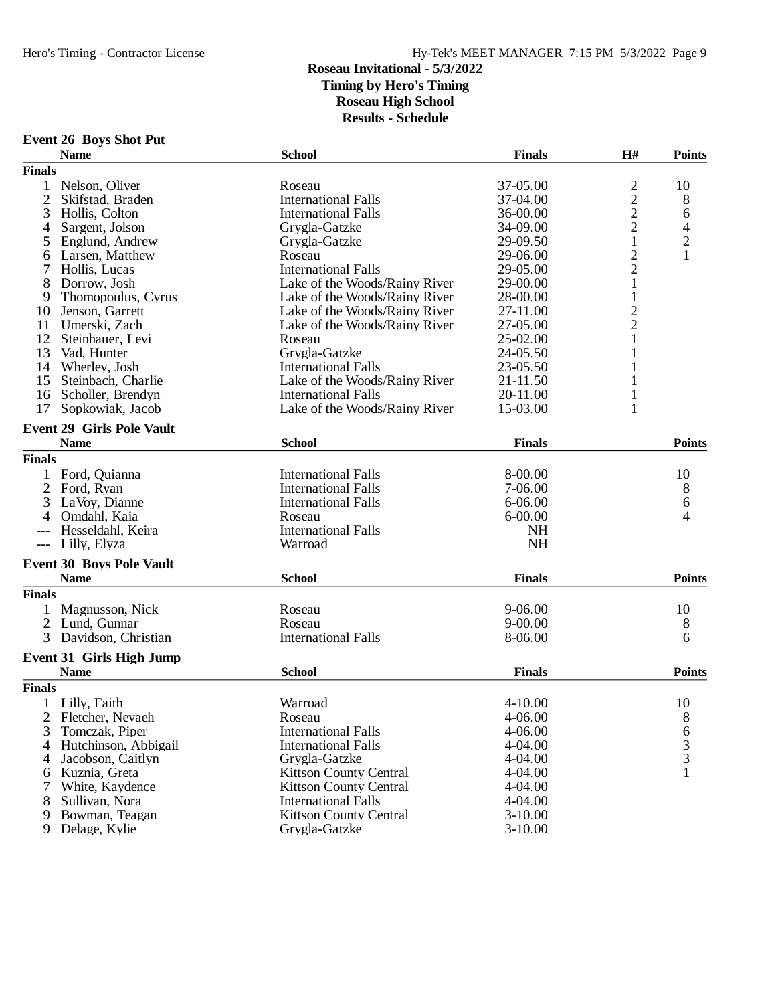|  |  | <b>Event 26 Boys Shot Put</b> |  |
|--|--|-------------------------------|--|
|--|--|-------------------------------|--|

|                | <b>EVEIR 40 DUYS SHUL I UL</b><br><b>Name</b>  | <b>School</b>                 | <b>Finals</b> | H#                                         | <b>Points</b>  |
|----------------|------------------------------------------------|-------------------------------|---------------|--------------------------------------------|----------------|
| <b>Finals</b>  |                                                |                               |               |                                            |                |
|                | Nelson, Oliver                                 | Roseau                        | 37-05.00      |                                            | 10             |
| $\overline{2}$ | Skifstad, Braden                               | <b>International Falls</b>    | 37-04.00      | $\begin{array}{c} 2 \\ 2 \\ 2 \end{array}$ | 8              |
| 3              | Hollis, Colton                                 | <b>International Falls</b>    | 36-00.00      |                                            | 6              |
| 4              | Sargent, Jolson                                | Grygla-Gatzke                 | 34-09.00      |                                            | $\overline{4}$ |
| 5              | Englund, Andrew                                | Grygla-Gatzke                 | 29-09.50      | $\mathbf{1}$                               |                |
| 6              | Larsen, Matthew                                | Roseau                        | 29-06.00      | $\overline{c}$                             | $\frac{2}{1}$  |
|                | Hollis, Lucas                                  | <b>International Falls</b>    | 29-05.00      | $\overline{c}$                             |                |
| 8              | Dorrow, Josh                                   | Lake of the Woods/Rainy River | 29-00.00      | $\mathbf{1}$                               |                |
|                | Thomopoulus, Cyrus                             | Lake of the Woods/Rainy River | 28-00.00      | 1                                          |                |
| 9              |                                                | Lake of the Woods/Rainy River | 27-11.00      |                                            |                |
| 10             | Jenson, Garrett                                |                               |               | $\frac{2}{2}$                              |                |
| 11             | Umerski, Zach                                  | Lake of the Woods/Rainy River | 27-05.00      | $\mathbf{1}$                               |                |
| 12             | Steinhauer, Levi                               | Roseau                        | 25-02.00      |                                            |                |
| 13             | Vad, Hunter                                    | Grygla-Gatzke                 | 24-05.50      | $\mathbf{1}$                               |                |
|                | 14 Wherley, Josh                               | <b>International Falls</b>    | 23-05.50      | 1                                          |                |
| 15             | Steinbach, Charlie                             | Lake of the Woods/Rainy River | 21-11.50      | 1                                          |                |
| 16             | Scholler, Brendyn                              | <b>International Falls</b>    | 20-11.00      | $\mathbf{1}$                               |                |
| 17             | Sopkowiak, Jacob                               | Lake of the Woods/Rainy River | 15-03.00      | $\mathbf{1}$                               |                |
|                | <b>Event 29 Girls Pole Vault</b>               |                               |               |                                            |                |
|                | <b>Name</b>                                    | <b>School</b>                 | <b>Finals</b> |                                            | <b>Points</b>  |
| <b>Finals</b>  |                                                |                               |               |                                            |                |
|                | Ford, Quianna                                  | <b>International Falls</b>    | 8-00.00       |                                            | 10             |
| $\overline{2}$ | Ford, Ryan                                     | <b>International Falls</b>    | 7-06.00       |                                            | 8              |
| 3              | LaVoy, Dianne                                  | <b>International Falls</b>    | $6 - 06.00$   |                                            | 6              |
|                | Omdahl, Kaia                                   | Roseau                        | $6 - 00.00$   |                                            | 4              |
|                | Hesseldahl, Keira                              | <b>International Falls</b>    | <b>NH</b>     |                                            |                |
|                | Lilly, Elyza                                   | Warroad                       | <b>NH</b>     |                                            |                |
|                | <b>Event 30 Boys Pole Vault</b>                |                               |               |                                            |                |
|                | <b>Name</b>                                    | <b>School</b>                 | <b>Finals</b> |                                            | <b>Points</b>  |
| <b>Finals</b>  |                                                |                               |               |                                            |                |
| 1              | Magnusson, Nick                                | Roseau                        | 9-06.00       |                                            | 10             |
| 2              | Lund, Gunnar                                   | Roseau                        | $9 - 00.00$   |                                            | 8              |
| 3              | Davidson, Christian                            | <b>International Falls</b>    | 8-06.00       |                                            | 6              |
|                |                                                |                               |               |                                            |                |
|                | <b>Event 31 Girls High Jump</b><br><b>Name</b> | <b>School</b>                 | <b>Finals</b> |                                            | <b>Points</b>  |
| <b>Finals</b>  |                                                |                               |               |                                            |                |
|                |                                                |                               |               |                                            |                |
|                | 1 Lilly, Faith                                 | Warroad                       | $4 - 10.00$   |                                            | 10             |
| 2              | Fletcher, Nevaeh                               | Roseau                        | 4-06.00       |                                            | 8              |
| 3              | Tomczak, Piper                                 | <b>International Falls</b>    | 4-06.00       |                                            | $\frac{6}{3}$  |
| 4              | Hutchinson, Abbigail                           | <b>International Falls</b>    | 4-04.00       |                                            |                |
| 4              | Jacobson, Caitlyn                              | Grygla-Gatzke                 | 4-04.00       |                                            | 3              |
| 6              | Kuznia, Greta                                  | <b>Kittson County Central</b> | 4-04.00       |                                            | $\mathbf{1}$   |
| 7              | White, Kaydence                                | <b>Kittson County Central</b> | 4-04.00       |                                            |                |
| 8              | Sullivan, Nora                                 | <b>International Falls</b>    | 4-04.00       |                                            |                |
| 9              | Bowman, Teagan                                 | <b>Kittson County Central</b> | $3-10.00$     |                                            |                |
| 9              | Delage, Kylie                                  | Grygla-Gatzke                 | $3-10.00$     |                                            |                |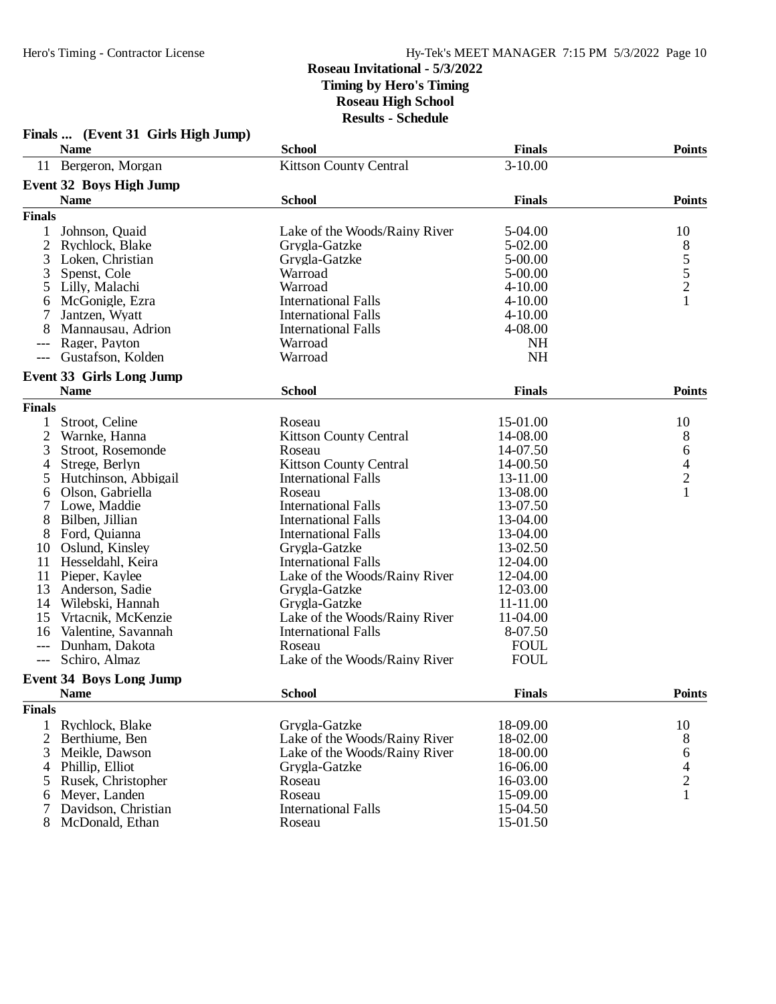|                | Finals  (Event 31 Girls High Jump) |                               |               |                                            |
|----------------|------------------------------------|-------------------------------|---------------|--------------------------------------------|
|                | <b>Name</b>                        | <b>School</b>                 | <b>Finals</b> | <b>Points</b>                              |
|                | 11 Bergeron, Morgan                | <b>Kittson County Central</b> | $3-10.00$     |                                            |
|                | <b>Event 32 Boys High Jump</b>     |                               |               |                                            |
|                | <b>Name</b>                        | <b>School</b>                 | <b>Finals</b> | <b>Points</b>                              |
| <b>Finals</b>  |                                    |                               |               |                                            |
|                | Johnson, Quaid                     | Lake of the Woods/Rainy River | 5-04.00       | 10                                         |
| 2              | Rychlock, Blake                    | Grygla-Gatzke                 | 5-02.00       |                                            |
| 3              | Loken, Christian                   | Grygla-Gatzke                 | 5-00.00       |                                            |
| 3              | Spenst, Cole                       | Warroad                       | 5-00.00       | $\frac{8}{5}$<br>$\frac{5}{2}$             |
| 5              | Lilly, Malachi                     | Warroad                       | $4 - 10.00$   |                                            |
| 6              | McGonigle, Ezra                    | <b>International Falls</b>    | $4 - 10.00$   | $\mathbf{1}$                               |
| 7              | Jantzen, Wyatt                     | <b>International Falls</b>    | $4 - 10.00$   |                                            |
| 8              | Mannausau, Adrion                  | <b>International Falls</b>    | 4-08.00       |                                            |
|                | Rager, Payton                      | Warroad                       | <b>NH</b>     |                                            |
|                | Gustafson, Kolden                  | Warroad                       | NH            |                                            |
|                | <b>Event 33 Girls Long Jump</b>    |                               |               |                                            |
|                | <b>Name</b>                        | <b>School</b>                 | <b>Finals</b> | <b>Points</b>                              |
| <b>Finals</b>  |                                    |                               |               |                                            |
| 1              | Stroot, Celine                     | Roseau                        | 15-01.00      | 10                                         |
| 2              | Warnke, Hanna                      | <b>Kittson County Central</b> | 14-08.00      | 8                                          |
| 3              | Stroot, Rosemonde                  | Roseau                        | 14-07.50      | 6                                          |
| 4              | Strege, Berlyn                     | <b>Kittson County Central</b> | 14-00.50      |                                            |
| 5              | Hutchinson, Abbigail               | <b>International Falls</b>    | 13-11.00      | $\begin{array}{c} 4 \\ 2 \\ 1 \end{array}$ |
| 6              | Olson, Gabriella                   | Roseau                        | 13-08.00      |                                            |
| 7              | Lowe, Maddie                       | <b>International Falls</b>    | 13-07.50      |                                            |
| 8              | Bilben, Jillian                    | <b>International Falls</b>    | 13-04.00      |                                            |
| 8              | Ford, Quianna                      | <b>International Falls</b>    | 13-04.00      |                                            |
| 10             | Oslund, Kinsley                    | Grygla-Gatzke                 | 13-02.50      |                                            |
| 11             | Hesseldahl, Keira                  | <b>International Falls</b>    | 12-04.00      |                                            |
| 11             | Pieper, Kaylee                     | Lake of the Woods/Rainy River | 12-04.00      |                                            |
| 13             | Anderson, Sadie                    | Grygla-Gatzke                 | 12-03.00      |                                            |
| 14             | Wilebski, Hannah                   | Grygla-Gatzke                 | 11-11.00      |                                            |
| 15             | Vrtacnik, McKenzie                 | Lake of the Woods/Rainy River | 11-04.00      |                                            |
| 16             | Valentine, Savannah                | <b>International Falls</b>    | 8-07.50       |                                            |
| $---$          | Dunham, Dakota                     | Roseau                        | <b>FOUL</b>   |                                            |
| $---$          | Schiro, Almaz                      | Lake of the Woods/Rainy River | <b>FOUL</b>   |                                            |
|                | <b>Event 34 Boys Long Jump</b>     |                               |               |                                            |
|                | <b>Name</b>                        | <b>School</b>                 | <b>Finals</b> | <b>Points</b>                              |
| <b>Finals</b>  |                                    |                               |               |                                            |
| 1              | Rychlock, Blake                    | Grygla-Gatzke                 | 18-09.00      | 10                                         |
| $\overline{2}$ | Berthiume, Ben                     | Lake of the Woods/Rainy River | 18-02.00      | 8                                          |
| 3              | Meikle, Dawson                     | Lake of the Woods/Rainy River | 18-00.00      | 6                                          |
| 4              | Phillip, Elliot                    | Grygla-Gatzke                 | 16-06.00      |                                            |
| 5              | Rusek, Christopher                 | Roseau                        | 16-03.00      | $\frac{4}{2}$                              |
| 6              | Meyer, Landen                      | Roseau                        | 15-09.00      | $\mathbf{1}$                               |
|                | Davidson, Christian                | <b>International Falls</b>    | 15-04.50      |                                            |
| 8              | McDonald, Ethan                    | Roseau                        | 15-01.50      |                                            |